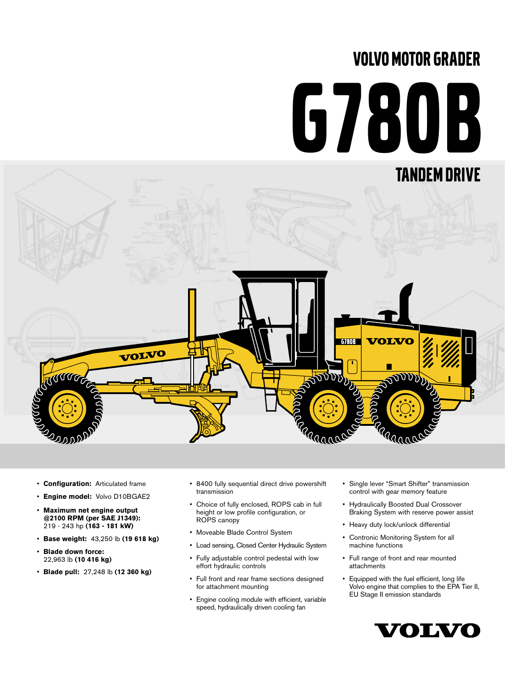# VOLVO MOTOR GRADER

# G780B



- **Configuration:** Articulated frame
- **Engine model:** Volvo D10BGAE2
- **Maximum net engine output @2100 RPM (per SAE J1349):** 219 - 243 hp **(163 - 181 kW)**
- **Base weight:** 43,250 lb **(19 618 kg)**
- **Blade down force:**  22,963 lb **(10 416 kg)**
- **Blade pull:** 27,248 lb **(12 360 kg)**
- 8400 fully sequential direct drive powershift transmission
- Choice of fully enclosed, ROPS cab in full height or low profile configuration, or ROPS canopy
- Moveable Blade Control System
- Load sensing, Closed Center Hydraulic System
- Fully adjustable control pedestal with low effort hydraulic controls
- Full front and rear frame sections designed for attachment mounting
- Engine cooling module with efficient, variable speed, hydraulically driven cooling fan
- Single lever "Smart Shifter" transmission control with gear memory feature
- Hydraulically Boosted Dual Crossover Braking System with reserve power assist
- Heavy duty lock/unlock differential
- Contronic Monitoring System for all machine functions
- Full range of front and rear mounted attachments
- Equipped with the fuel efficient, long life Volvo engine that complies to the EPA Tier II, EU Stage II emission standards

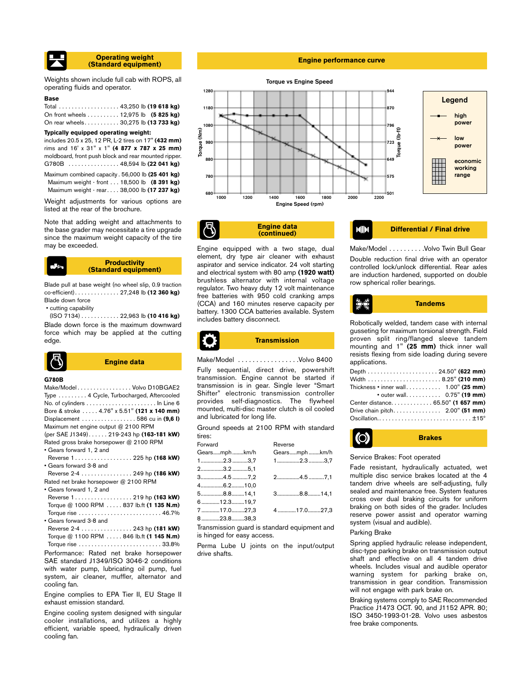

Weights shown include full cab with ROPS, all operating fluids and operator.

# **Base**

| Total 43,250 lb (19 618 kg)          |  |  |  |
|--------------------------------------|--|--|--|
| On front wheels 12,975 lb (5 825 kg) |  |  |  |
| On rear wheels 30,275 lb (13 733 kg) |  |  |  |

# **Typically equipped operating weight:**

| includes 20.5 x 25, 12 PR, L-2 tires on 17" (432 mm) |  |
|------------------------------------------------------|--|
| rims and 16' x 31" x 1" (4 877 x 787 x 25 mm)        |  |
| moldboard, front push block and rear mounted ripper. |  |
| G780B $\ldots$ 48,594 lb (22 041 kg)                 |  |
| Maximum combined capacity . 56,000 lb (25 401 kg)    |  |
| Maximum weight - front 18,500 lb (8 391 kg)          |  |
| Maximum weight - rear 38,000 lb (17 237 kg)          |  |

Weight adjustments for various options are listed at the rear of the brochure.

Note that adding weight and attachments to the base grader may necessitate a tire upgrade since the maximum weight capacity of the tire may be exceeded.

# **Productivity (Standard equipment)**

Blade pull at base weight (no wheel slip, 0.9 traction co-efficient). . . . . . . . . . . . . . 27,248 lb **(12 360 kg)** Blade down force

• cutting capability

(ISO 7134) . . . . . . . . . . . . 22,963 lb **(10 416 kg)** Blade down force is the maximum downward force which may be applied at the cutting edge.



# **Engine data**

# **G780B**

| Make/ModelVolvo D10BGAE2                    |
|---------------------------------------------|
| Type  4 Cycle, Turbocharged, Aftercooled    |
|                                             |
| Bore & stroke  4.76" x 5.51" (121 x 140 mm) |
| Displacement 586 cu in $(9.61)$             |
| Maximum net engine output @ 2100 RPM        |
| (per SAE J1349) 219-243 hp (163-181 kW)     |
| Rated gross brake horsepower @ 2100 RPM     |
| • Gears forward 1, 2 and                    |
| Reverse 1 225 hp (168 kW)                   |
| • Gears forward 3-8 and                     |
| Reverse 2-4  249 hp (186 kW)                |
| Rated net brake horsepower @ 2100 RPM       |
| • Gears forward 1, 2 and                    |
| Reverse 1 219 hp (163 kW)                   |
| Torque @ 1000 RPM  837 lb.ft (1 135 N.m)    |
|                                             |
| • Gears forward 3-8 and                     |
| Reverse 2-4 243 hp (181 kW)                 |

Torque @ 1100 RPM . . . . . 846 lb.ft **(1 145 N.m)** Torque rise . . . . . . . . . . . . . . . . . . . . . . . . . . 33.8%

Performance: Rated net brake horsepower SAE standard J1349/ISO 3046-2 conditions with water pump, lubricating oil pump, fuel system, air cleaner, muffler, alternator and cooling fan.

Engine complies to EPA Tier II, EU Stage II exhaust emission standard.

Engine cooling system designed with singular cooler installations, and utilizes a highly efficient, variable speed, hydraulically driven cooling fan.

# **Engine performance curve**



**Engine data**

Engine equipped with a two stage, dual element, dry type air cleaner with exhaust aspirator and service indicator. 24 volt starting and electrical system with 80 amp **(1920 watt)** brushless alternator with internal voltage regulator. Two heavy duty 12 volt maintenance free batteries with 950 cold cranking amps (CCA) and 160 minutes reserve capacity per battery. 1300 CCA batteries available. System includes battery disconnect.

**(continued) Differential / Final drive**

Make/Model . . . . . . . . . . Volvo Twin Bull Gear Double reduction final drive with an operator controlled lock/unlock differential. Rear axles are induction hardened, supported on double row spherical roller bearings.



Robotically welded, tandem case with internal gusseting for maximum torsional strength. Field proven split ring/flanged sleeve tandem mounting and 1" **(25 mm)** thick inner wall resists flexing from side loading during severe applications.

| Width 8.25" (210 mm)                       |  |  |
|--------------------------------------------|--|--|
| Thickness $\cdot$ inner wall 1.00" (25 mm) |  |  |
| • outer wall. 0.75" (19 mm)                |  |  |
| Center distance. 65.50" (1 657 mm)         |  |  |
|                                            |  |  |
|                                            |  |  |

**Brakes**

Ground speeds at 2100 RPM with standard tires:

| Forward      | Reverse      |
|--------------|--------------|
| Gearsmphkm/h | Gearsmphkm/h |
| $1$ 2.33,7   | $1$ 2.33,7   |
| 23.2 5,1     |              |
| 34.5 7,2     | 24.57.1      |
| 46.210,0     |              |
| 58.814,1     | 38.814,1     |
| 612.319,7    |              |
| 717.027,3    | 417.027,3    |
| 823.838.3    |              |

Transmission guard is standard equipment and is hinged for easy access.

Perma Lube U joints on the input/output drive shafts.

# Service Brakes: Foot operated

Fade resistant, hydraulically actuated, wet multiple disc service brakes located at the 4 tandem drive wheels are self-adjusting, fully sealed and maintenance free. System features cross over dual braking circuits for uniform braking on both sides of the grader. Includes reserve power assist and operator warning system (visual and audible).

# Parking Brake

**O** 

Spring applied hydraulic release independent, disc-type parking brake on transmission output shaft and effective on all 4 tandem drive wheels. Includes visual and audible operator warning system for parking brake on, transmission in gear condition. Transmission will not engage with park brake on.

Braking systems comply to SAE Recommended Practice J1473 OCT. 90, and J1152 APR. 80; ISO 3450-1993-01-28. Volvo uses asbestos free brake components.



**Transmission**

# Make/Model . . . . . . . . . . . . . . . . .Volvo 8400

Fully sequential, direct drive, powershift transmission. Engine cannot be started if transmission is in gear. Single lever "Smart Shifter" electronic transmission controller provides self-diagnostics. The flywheel mounted, multi-disc master clutch is oil cooled and lubricated for long life.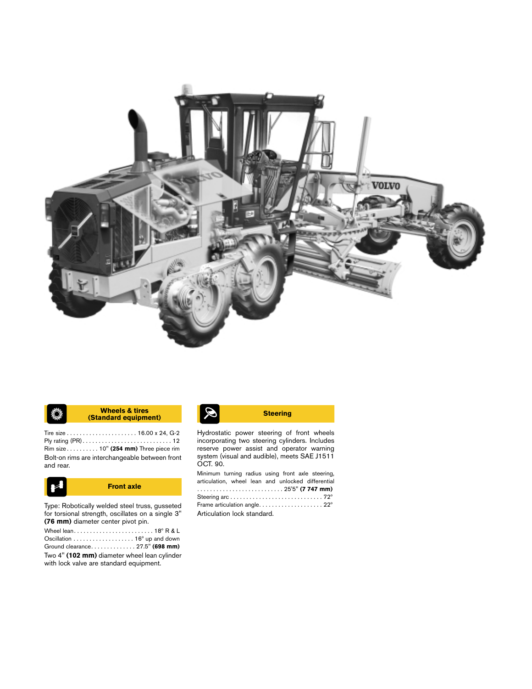

## **K** Wheels & tires **Steering**<br> **Standard equipment)** Steering **Wheels & tires** ♦

Tire size . . . . . . . . . . . . . . . . . . . . . . 16.00 x 24, G-2 Ply rating (PR) . . . . . . . . . . . . . . . . . . . . . . . . . . . . 12 Rim size . . . . . . . . . . 10" **(254 mm)** Three piece rim Bolt-on rims are interchangeable between front and rear.



Type: Robotically welded steel truss, gusseted for torsional strength, oscillates on a single 3" **(76 mm)** diameter center pivot pin.

| Oscillation $\dots \dots \dots \dots \dots \dots 16^{\circ}$ up and down                |
|-----------------------------------------------------------------------------------------|
| Ground clearance27.5" (698 mm)                                                          |
| Two 4" (102 mm) diameter wheel lean cylinder<br>with lock valve are standard equipment. |

Hydrostatic power steering of front wheels incorporating two steering cylinders. Includes reserve power assist and operator warning system (visual and audible), meets SAE J1511 OCT. 90.

Minimum turning radius using front axle steering, articulation, wheel lean and unlocked differential . . . . . . . . . . . . . . . . . . . . . . . . . . . 25'5" **(7 747 mm)** Steering arc . . . . . . . . . . . . . . . . . . . . . . . . . . . . . 72º Frame articulation angle. . . . . . . . . . . . . . . . . . . . 22º Articulation lock standard.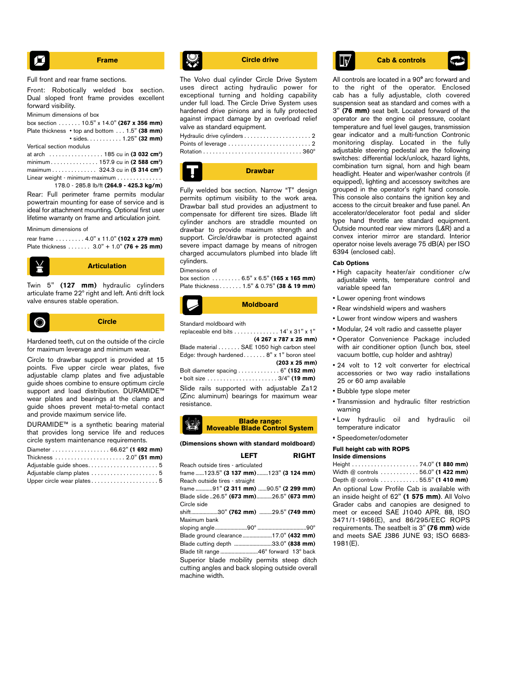$$
\begin{array}{|c|c|}\n \hline\n \end{array}
$$
 **Frame**

Full front and rear frame sections.

Front: Robotically welded box section. Dual sloped front frame provides excellent forward visibility.

Minimum dimensions of box

| box section 10.5" x 14.0" (267 x 356 mm)                    |                             |
|-------------------------------------------------------------|-----------------------------|
| Plate thickness $\cdot$ top and bottom $\dots$ 1.5" (38 mm) |                             |
|                                                             | $\cdot$ sides 1.25" (32 mm) |
| Vertical section modulus                                    |                             |

| at arch  185 cu in (3 032 cm <sup>3</sup> )  |  |  |  |
|----------------------------------------------|--|--|--|
| minimum157.9 cu in (2 588 cm <sup>3</sup> )  |  |  |  |
| maximum 324.3 cu in (5 314 cm <sup>3</sup> ) |  |  |  |
| Linear weight - minimum-maximum              |  |  |  |

178.0 - 285.8 lb/ft **(264.9 - 425.3 kg/m)**

Rear: Full perimeter frame permits modular powertrain mounting for ease of service and is ideal for attachment mounting. Optional first user lifetime warranty on frame and articulation joint.

Minimum dimensions of

rear frame . . . . . . . . . 4.0" x 11.0" **(102 x 279 mm)** Plate thickness . . . . . . . 3.0" + 1.0" **(76 + 25 mm)**



Twin 5" **(127 mm)** hydraulic cylinders articulate frame 22º right and left. Anti drift lock valve ensures stable operation.



Hardened teeth, cut on the outside of the circle for maximum leverage and minimum wear.

Circle to drawbar support is provided at 15 points. Five upper circle wear plates, five adjustable clamp plates and five adjustable guide shoes combine to ensure optimum circle support and load distribution. DURAMIDE<sup>™</sup> wear plates and bearings at the clamp and guide shoes prevent metal-to-metal contact and provide maximum service life.

DURAMIDE™ is a synthetic bearing material that provides long service life and reduces circle system maintenance requirements.

| Diameter 66.62" (1 692 mm) |  |
|----------------------------|--|
|                            |  |
|                            |  |
|                            |  |
|                            |  |

The Volvo dual cylinder Circle Drive System uses direct acting hydraulic power for exceptional turning and holding capability under full load. The Circle Drive System uses hardened drive pinions and is fully protected against impact damage by an overload relief valve as standard equipment. Hydraulic drive cylinders . . . . . . . . . . . . . . . . . . . . . 2



Fully welded box section. Narrow "T" design permits optimum visibility to the work area. Drawbar ball stud provides an adjustment to compensate for different tire sizes. Blade lift cylinder anchors are straddle mounted on drawbar to provide maximum strength and support. Circle/drawbar is protected against severe impact damage by means of nitrogen charged accumulators plumbed into blade lift cylinders.

# Dimensions of

box section . . . . . . . . . 6.5" x 6.5" **(165 x 165 mm)** Plate thickness . . . . . . . 1.5" & 0.75" **(38 & 19 mm)**



```
Standard moldboard with
```

| replaceable end bits 14' x 31" x 1"                                          |
|------------------------------------------------------------------------------|
| (4 267 x 787 x 25 mm)                                                        |
| Blade material SAE 1050 high carbon steel                                    |
| Edge: through hardened 8" x 1" boron steel                                   |
| $(203 \times 25 \text{ mm})$                                                 |
| Bolt diameter spacing 6" (152 mm)                                            |
| • bolt size $\ldots \ldots \ldots \ldots \ldots \ldots \ldots 3/4$ " (19 mm) |
| Slide rails supported with adjustable Za12                                   |
| (Zinc aluminum) bearings for maximum wear                                    |
| resistance.                                                                  |

# **Blade range: Moveable Blade Control System**

**(Dimensions shown with standard moldboard)**

| <b>RIGHT</b><br>LEFT                                                                                             |
|------------------------------------------------------------------------------------------------------------------|
| Reach outside tires - articulated                                                                                |
| frame 123.5" (3 137 mm) 123" (3 124 mm)                                                                          |
| Reach outside tires - straight                                                                                   |
| frame 91" (2 311 mm) 90.5" (2 299 mm)                                                                            |
| Blade slide 26.5" (673 mm)26.5" (673 mm)                                                                         |
| Circle side                                                                                                      |
| shift30" (762 mm) 29.5" (749 mm)                                                                                 |
| Maximum bank                                                                                                     |
|                                                                                                                  |
| Blade ground clearance17.0" (432 mm)                                                                             |
| Blade cutting depth 33.0" (838 mm)                                                                               |
| Blade tilt range 46° forward 13° back                                                                            |
| Superior blade mobility permits steep ditch<br>cutting angles and back sloping outside overall<br>machine width. |

# **Circle drive Cab & controls**

All controls are located in a 90° arc forward and to the right of the operator. Enclosed cab has a fully adjustable, cloth covered suspension seat as standard and comes with a 3" **(76 mm)** seat belt. Located forward of the operator are the engine oil pressure, coolant temperature and fuel level gauges, transmission gear indicator and a multi-function Contronic monitoring display. Located in the fully adjustable steering pedestal are the following switches: differential lock/unlock, hazard lights, combination turn signal, horn and high beam headlight. Heater and wiper/washer controls (if equipped), lighting and accessory switches are grouped in the operator's right hand console. This console also contains the ignition key and access to the circuit breaker and fuse panel. An accelerator/decelerator foot pedal and slider type hand throttle are standard equipment. Outside mounted rear view mirrors (L&R) and a convex interior mirror are standard. Interior operator noise levels average 75 dB(A) per ISO 6394 (enclosed cab).

# **Cab Options**

- High capacity heater/air conditioner c/w adjustable vents, temperature control and variable speed fan
- Lower opening front windows
- Rear windshield wipers and washers
- Lower front window wipers and washers
- Modular, 24 volt radio and cassette player
- Operator Convenience Package included with air conditioner option (lunch box, steel vacuum bottle, cup holder and ashtray)
- 24 volt to 12 volt converter for electrical accessories or two way radio installations 25 or 60 amp available
- Bubble type slope meter
- Transmission and hydraulic filter restriction warning
- Low hydraulic oil and hydraulic oil temperature indicator
- Speedometer/odometer

# **Full height cab with ROPS Inside dimensions**

Height . . . . . . . . . . . . . . . . . . . . . 74.0" **(1 880 mm)** Width @ controls . . . . . . . . . . . . 56.0" **(1 422 mm)** Depth @ controls . . . . . . . . . . . . 55.5" **(1 410 mm)** An optional Low Profile Cab is available with an inside height of 62" **(1 575 mm)**. All Volvo Grader cabs and canopies are designed to meet or exceed SAE J1040 APR. 88, ISO 3471/1-1986(E), and 86/295/EEC ROPS requirements. The seatbelt is 3" **(76 mm)** wide and meets SAE J386 JUNE 93; ISO 6683- 1981(E).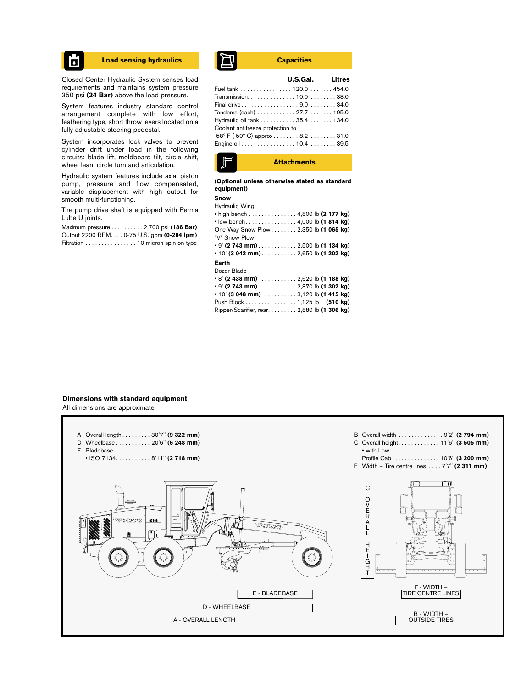

Closed Center Hydraulic System senses load requirements and maintains system pressure 350 psi **(24 Bar)** above the load pressure.

System features industry standard control arrangement complete with low effort, feathering type, short throw levers located on a fully adjustable steering pedestal.

System incorporates lock valves to prevent cylinder drift under load in the following circuits: blade lift, moldboard tilt, circle shift, wheel lean, circle turn and articulation.

Hydraulic system features include axial piston pump, pressure and flow compensated, variable displacement with high output for smooth multi-functioning.

The pump drive shaft is equipped with Perma Lube U joints.

Maximum pressure . . . . . . . . . . 2,700 psi **(186 Bar)** Output 2200 RPM. . . . 0-75 U.S. gpm **(0-284 lpm)** Filtration . . . . . . . . . . . . . . . . 10 micron spin-on type

# **Load sensing hydraulics Capacities**

|                                                    | U.S.Gal. Litres |  |
|----------------------------------------------------|-----------------|--|
| Fuel tank 120.0 454.0                              |                 |  |
|                                                    |                 |  |
| Final drive9.0  34.0                               |                 |  |
| Tandems (each)  27.7  105.0                        |                 |  |
| Hydraulic oil tank 35.4 134.0                      |                 |  |
| Coolant antifreeze protection to                   |                 |  |
| $-58^{\circ}$ F ( $-50^{\circ}$ C) approx 8.2 31.0 |                 |  |
| Engine oil 10.4  39.5                              |                 |  |
|                                                    |                 |  |



**(Optional unless otherwise stated as standard equipment)**

# **Snow**

| Hydraulic Wing<br>• high bench 4,800 lb (2 177 kg)<br>• low bench4,000 lb (1814 kg)<br>One Way Snow Plow 2,350 lb (1 065 kg)<br>"V" Snow Plow |  |  |
|-----------------------------------------------------------------------------------------------------------------------------------------------|--|--|
| $\cdot$ 10' (3 042 mm)2,650 lb (1 202 kg)                                                                                                     |  |  |
| Earth<br>Dozer Blade<br>$\cdot$ 8' (2 438 mm) $\ldots \ldots \ldots 2,620$ lb (1 188 kg)                                                      |  |  |

| ∙ О (2. 4-30 ШШ) ∴ 2,02∪ ID (Т ТОО КЧ)                            |  |  |
|-------------------------------------------------------------------|--|--|
| • 9' (2 743 mm) 2,870 lb (1 302 kg)                               |  |  |
| $\cdot$ 10' (3 048 mm) $\ldots \ldots \ldots 3,120$ lb (1 415 kg) |  |  |
| Push Block 1,125 lb (510 kg)                                      |  |  |
| Ripper/Scarifier, rear. 2,880 lb (1 306 kg)                       |  |  |

# **Dimensions with standard equipment**

All dimensions are approximate